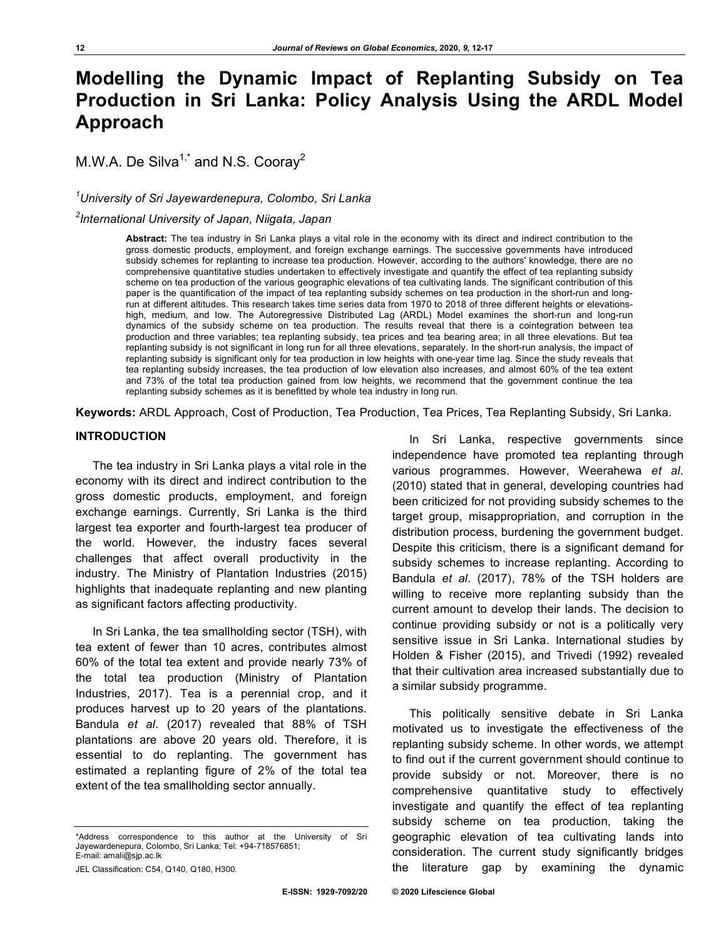# **Modelling the Dynamic Impact of Replanting Subsidy on Tea Production in Sri Lanka: Policy Analysis Using the ARDL Model Approach**

M.W.A. De Silva<sup>1,\*</sup> and N.S. Cooray<sup>2</sup>

# *1 University of Sri Jayewardenepura, Colombo, Sri Lanka*

# *2 International University of Japan, Niigata, Japan*

**Abstract:** The tea industry in Sri Lanka plays a vital role in the economy with its direct and indirect contribution to the gross domestic products, employment, and foreign exchange earnings. The successive governments have introduced subsidy schemes for replanting to increase tea production. However, according to the authors' knowledge, there are no comprehensive quantitative studies undertaken to effectively investigate and quantify the effect of tea replanting subsidy scheme on tea production of the various geographic elevations of tea cultivating lands. The significant contribution of this paper is the quantification of the impact of tea replanting subsidy schemes on tea production in the short-run and longrun at different altitudes. This research takes time series data from 1970 to 2018 of three different heights or elevationshigh, medium, and low. The Autoregressive Distributed Lag (ARDL) Model examines the short-run and long-run dynamics of the subsidy scheme on tea production. The results reveal that there is a cointegration between tea production and three variables; tea replanting subsidy, tea prices and tea bearing area; in all three elevations. But tea replanting subsidy is not significant in long run for all three elevations, separately. In the short-run analysis, the impact of replanting subsidy is significant only for tea production in low heights with one-year time lag. Since the study reveals that tea replanting subsidy increases, the tea production of low elevation also increases, and almost 60% of the tea extent and 73% of the total tea production gained from low heights, we recommend that the government continue the tea replanting subsidy schemes as it is benefitted by whole tea industry in long run.

**Keywords:** ARDL Approach, Cost of Production, Tea Production, Tea Prices, Tea Replanting Subsidy, Sri Lanka.

# **INTRODUCTION**

The tea industry in Sri Lanka plays a vital role in the economy with its direct and indirect contribution to the gross domestic products, employment, and foreign exchange earnings. Currently, Sri Lanka is the third largest tea exporter and fourth-largest tea producer of the world. However, the industry faces several challenges that affect overall productivity in the industry. The Ministry of Plantation Industries (2015) highlights that inadequate replanting and new planting as significant factors affecting productivity.

In Sri Lanka, the tea smallholding sector (TSH), with tea extent of fewer than 10 acres, contributes almost 60% of the total tea extent and provide nearly 73% of the total tea production (Ministry of Plantation Industries, 2017). Tea is a perennial crop, and it produces harvest up to 20 years of the plantations. Bandula *et al*. (2017) revealed that 88% of TSH plantations are above 20 years old. Therefore, it is essential to do replanting. The government has estimated a replanting figure of 2% of the total tea extent of the tea smallholding sector annually.

In Sri Lanka, respective governments since independence have promoted tea replanting through various programmes. However, Weerahewa *et al*. (2010) stated that in general, developing countries had been criticized for not providing subsidy schemes to the target group, misappropriation, and corruption in the distribution process, burdening the government budget. Despite this criticism, there is a significant demand for subsidy schemes to increase replanting. According to Bandula *et al*. (2017), 78% of the TSH holders are willing to receive more replanting subsidy than the current amount to develop their lands. The decision to continue providing subsidy or not is a politically very sensitive issue in Sri Lanka. International studies by Holden & Fisher (2015), and Trivedi (1992) revealed that their cultivation area increased substantially due to a similar subsidy programme.

This politically sensitive debate in Sri Lanka motivated us to investigate the effectiveness of the replanting subsidy scheme. In other words, we attempt to find out if the current government should continue to provide subsidy or not. Moreover, there is no comprehensive quantitative study to effectively investigate and quantify the effect of tea replanting subsidy scheme on tea production, taking the geographic elevation of tea cultivating lands into consideration. The current study significantly bridges the literature gap by examining the dynamic

<sup>\*</sup>Address correspondence to this author at the University of Sri Jayewardenepura, Colombo, Sri Lanka; Tel: +94-718576851; E-mail: amali@sjp.ac.lk

JEL Classification: C54, Q140, Q180, H300.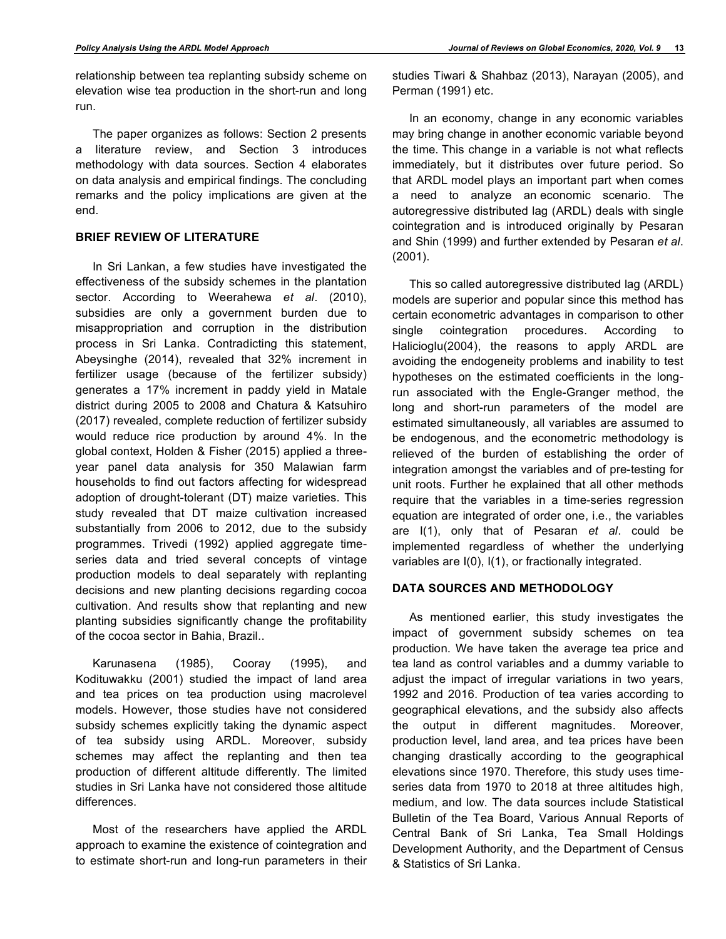relationship between tea replanting subsidy scheme on elevation wise tea production in the short-run and long run.

The paper organizes as follows: Section 2 presents a literature review, and Section 3 introduces methodology with data sources. Section 4 elaborates on data analysis and empirical findings. The concluding remarks and the policy implications are given at the end.

## **BRIEF REVIEW OF LITERATURE**

In Sri Lankan, a few studies have investigated the effectiveness of the subsidy schemes in the plantation sector. According to Weerahewa *et al*. (2010), subsidies are only a government burden due to misappropriation and corruption in the distribution process in Sri Lanka. Contradicting this statement, Abeysinghe (2014), revealed that 32% increment in fertilizer usage (because of the fertilizer subsidy) generates a 17% increment in paddy yield in Matale district during 2005 to 2008 and Chatura & Katsuhiro (2017) revealed, complete reduction of fertilizer subsidy would reduce rice production by around 4%. In the global context, Holden & Fisher (2015) applied a threeyear panel data analysis for 350 Malawian farm households to find out factors affecting for widespread adoption of drought-tolerant (DT) maize varieties. This study revealed that DT maize cultivation increased substantially from 2006 to 2012, due to the subsidy programmes. Trivedi (1992) applied aggregate timeseries data and tried several concepts of vintage production models to deal separately with replanting decisions and new planting decisions regarding cocoa cultivation. And results show that replanting and new planting subsidies significantly change the profitability of the cocoa sector in Bahia, Brazil..

Karunasena (1985), Cooray (1995), and Kodituwakku (2001) studied the impact of land area and tea prices on tea production using macrolevel models. However, those studies have not considered subsidy schemes explicitly taking the dynamic aspect of tea subsidy using ARDL. Moreover, subsidy schemes may affect the replanting and then tea production of different altitude differently. The limited studies in Sri Lanka have not considered those altitude differences.

Most of the researchers have applied the ARDL approach to examine the existence of cointegration and to estimate short-run and long-run parameters in their studies Tiwari & Shahbaz (2013), Narayan (2005), and Perman (1991) etc.

In an economy, change in any economic variables may bring change in another economic variable beyond the time. This change in a variable is not what reflects immediately, but it distributes over future period. So that ARDL model plays an important part when comes a need to analyze an economic scenario. The autoregressive distributed lag (ARDL) deals with single cointegration and is introduced originally by Pesaran and Shin (1999) and further extended by Pesaran *et al*. (2001).

This so called autoregressive distributed lag (ARDL) models are superior and popular since this method has certain econometric advantages in comparison to other single cointegration procedures. According to Halicioglu(2004), the reasons to apply ARDL are avoiding the endogeneity problems and inability to test hypotheses on the estimated coefficients in the longrun associated with the Engle-Granger method, the long and short-run parameters of the model are estimated simultaneously, all variables are assumed to be endogenous, and the econometric methodology is relieved of the burden of establishing the order of integration amongst the variables and of pre-testing for unit roots. Further he explained that all other methods require that the variables in a time-series regression equation are integrated of order one, i.e., the variables are I(1), only that of Pesaran *et al*. could be implemented regardless of whether the underlying variables are I(0), I(1), or fractionally integrated.

## **DATA SOURCES AND METHODOLOGY**

As mentioned earlier, this study investigates the impact of government subsidy schemes on tea production. We have taken the average tea price and tea land as control variables and a dummy variable to adjust the impact of irregular variations in two years, 1992 and 2016. Production of tea varies according to geographical elevations, and the subsidy also affects the output in different magnitudes. Moreover, production level, land area, and tea prices have been changing drastically according to the geographical elevations since 1970. Therefore, this study uses timeseries data from 1970 to 2018 at three altitudes high, medium, and low. The data sources include Statistical Bulletin of the Tea Board, Various Annual Reports of Central Bank of Sri Lanka, Tea Small Holdings Development Authority, and the Department of Census & Statistics of Sri Lanka.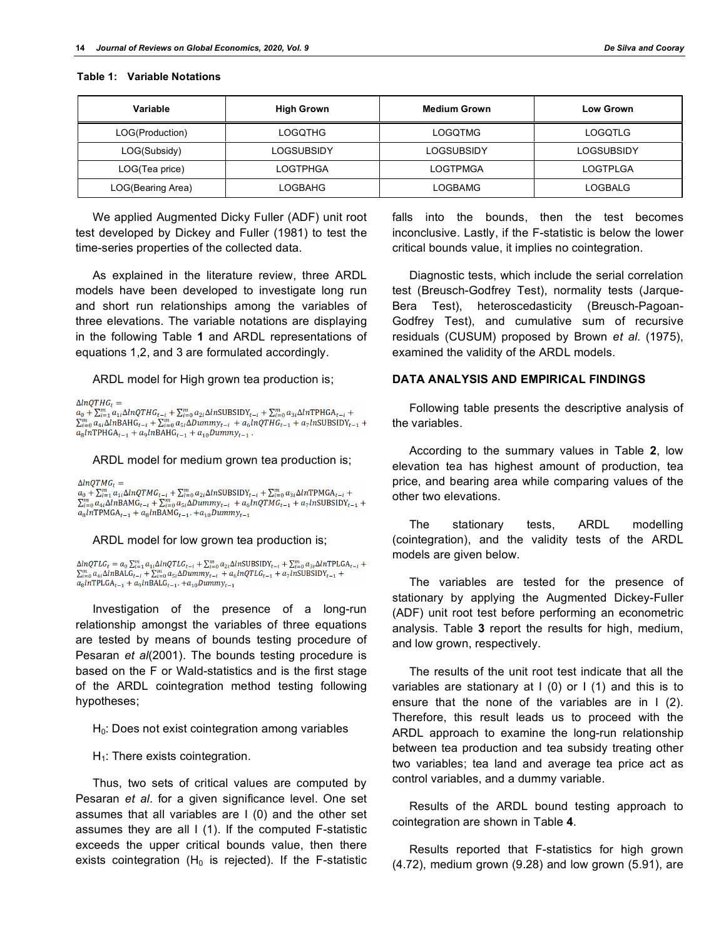| Variable          | <b>High Grown</b> | <b>Medium Grown</b> | <b>Low Grown</b> |
|-------------------|-------------------|---------------------|------------------|
| LOG(Production)   | <b>LOGQTHG</b>    | <b>LOGQTMG</b>      | LOGQTLG          |
| LOG(Subsidy)      | LOGSUBSIDY        | LOGSUBSIDY          | LOGSUBSIDY       |
| LOG(Tea price)    | <b>LOGTPHGA</b>   | LOGTPMGA            | <b>LOGTPLGA</b>  |
| LOG(Bearing Area) | LOGBAHG           | <b>LOGBAMG</b>      | <b>LOGBALG</b>   |

#### **Table 1: Variable Notations**

We applied Augmented Dicky Fuller (ADF) unit root test developed by Dickey and Fuller (1981) to test the time-series properties of the collected data.

As explained in the literature review, three ARDL models have been developed to investigate long run and short run relationships among the variables of three elevations. The variable notations are displaying in the following Table **1** and ARDL representations of equations 1,2, and 3 are formulated accordingly.

ARDL model for High grown tea production is;

 $\triangle InOTHG_r =$ 

 $a_0 + \sum_{i=1}^m a_{1i} \Delta lnQTHG_{t-i} + \sum_{i=0}^m a_{2i} \Delta lnSUBSIDY_{t-i} + \sum_{i=0}^m a_{3i} \Delta lnTPHGA_{t-i}$  $\sum_{i=0}^{m} a_{4i} \Delta lnBAHG_{t-i} + \sum_{i=0}^{m} a_{5i} \Delta Dummy_{t-i} + a_6 lnQTHG_{t-1} + a_7 lnSUBSIDY_{t-1} +$  $a_8ln$ TPHGA<sub>t-1</sub> +  $a_9ln$ BAHG<sub>t-1</sub> +  $a_{10}Dummy_{t-1}$ .

ARDL model for medium grown tea production is;

 $\Delta lnQTMG_t =$ 

 $\frac{a_0 + \sum_{i=0}^{m} a_{i1} \Delta lnQTMG_{t-i} + \sum_{i=0}^{m} a_{2i} \Delta lnSUBSDY_{t-i} + \sum_{i=0}^{m} a_{3i} \Delta lnTPMGA_{t-i} + \sum_{i=0}^{m} a_{4i} \Delta lnBAMG_{t-i} + \sum_{i=0}^{m} a_{5i} \Delta Dummy_{t-i} + a_6 lnQTMG_{t-1} + a_7 lnSUBSIDY_{t-1} +$  $a_8ln$ TPMGA<sub>t-1</sub> +  $a_8ln$ BAMG<sub>t-1</sub>. + $a_{10}Dummy_{t-1}$ 

#### ARDL model for low grown tea production is;

 $\Delta lnQTLG_t = a_0\sum_{i=1}^m a_{1i}\Delta lnQTLG_{t-i} + \sum_{i=0}^m a_{2i}\Delta ln\text{SUBSIDY}_{t-i} + \sum_{i=0}^m a_{3i}\Delta ln\text{TPLGA}_{t-i} +$  $\sum_{i=0}^{m} a_{4i} \Delta in \text{BALG}_{t-i} + \sum_{i=0}^{m} a_{5i} \Delta Dummy_{t-i} + a_6 lnQTLG_{t-1} + a_7 lnSUBSIDY_{t-1} +$  $a_8ln$ TPLGA<sub>t-1</sub> +  $a_9ln$ BALG<sub>t-1</sub>. + $a_{10}Dummy_{t-1}$ 

Investigation of the presence of a long-run relationship amongst the variables of three equations are tested by means of bounds testing procedure of Pesaran *et al*(2001). The bounds testing procedure is based on the F or Wald-statistics and is the first stage of the ARDL cointegration method testing following hypotheses;

 $H<sub>0</sub>$ : Does not exist cointegration among variables

 $H_1$ : There exists cointegration.

Thus, two sets of critical values are computed by Pesaran *et al*. for a given significance level. One set assumes that all variables are I (0) and the other set assumes they are all I (1). If the computed F-statistic exceeds the upper critical bounds value, then there exists cointegration ( $H_0$  is rejected). If the F-statistic

falls into the bounds, then the test becomes inconclusive. Lastly, if the F-statistic is below the lower critical bounds value, it implies no cointegration.

Diagnostic tests, which include the serial correlation test (Breusch-Godfrey Test), normality tests (Jarque-Bera Test), heteroscedasticity (Breusch-Pagoan-Godfrey Test), and cumulative sum of recursive residuals (CUSUM) proposed by Brown *et al*. (1975), examined the validity of the ARDL models.

#### **DATA ANALYSIS AND EMPIRICAL FINDINGS**

Following table presents the descriptive analysis of the variables.

According to the summary values in Table **2**, low elevation tea has highest amount of production, tea price, and bearing area while comparing values of the other two elevations.

The stationary tests, ARDL modelling (cointegration), and the validity tests of the ARDL models are given below.

The variables are tested for the presence of stationary by applying the Augmented Dickey-Fuller (ADF) unit root test before performing an econometric analysis. Table **3** report the results for high, medium, and low grown, respectively.

The results of the unit root test indicate that all the variables are stationary at  $I(0)$  or  $I(1)$  and this is to ensure that the none of the variables are in I (2). Therefore, this result leads us to proceed with the ARDL approach to examine the long-run relationship between tea production and tea subsidy treating other two variables; tea land and average tea price act as control variables, and a dummy variable.

Results of the ARDL bound testing approach to cointegration are shown in Table **4**.

Results reported that F-statistics for high grown (4.72), medium grown (9.28) and low grown (5.91), are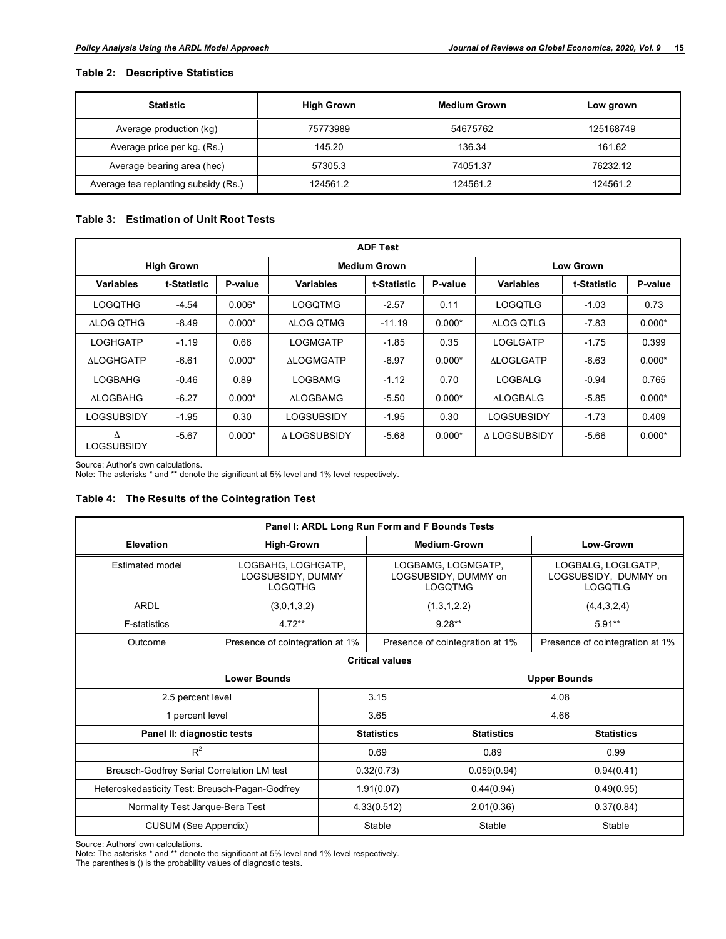### **Table 2: Descriptive Statistics**

| <b>Statistic</b>                     | <b>High Grown</b> | <b>Medium Grown</b> | Low grown |
|--------------------------------------|-------------------|---------------------|-----------|
| Average production (kg)              | 75773989          | 54675762            | 125168749 |
| Average price per kg. (Rs.)          | 145.20            | 136.34              | 161.62    |
| Average bearing area (hec)           | 57305.3           | 74051.37            | 76232.12  |
| Average tea replanting subsidy (Rs.) | 124561.2          | 124561.2            | 124561.2  |

#### **Table 3: Estimation of Unit Root Tests**

| <b>ADF Test</b>   |             |          |                     |             |          |                  |             |          |
|-------------------|-------------|----------|---------------------|-------------|----------|------------------|-------------|----------|
| <b>High Grown</b> |             |          | <b>Medium Grown</b> |             |          | <b>Low Grown</b> |             |          |
| <b>Variables</b>  | t-Statistic | P-value  | Variables           | t-Statistic | P-value  | <b>Variables</b> | t-Statistic | P-value  |
| <b>LOGQTHG</b>    | $-4.54$     | $0.006*$ | <b>LOGQTMG</b>      | $-2.57$     | 0.11     | <b>LOGQTLG</b>   | $-1.03$     | 0.73     |
| ALOG OTHG         | $-8.49$     | $0.000*$ | <b>ALOG QTMG</b>    | $-11.19$    | $0.000*$ | <b>ALOG QTLG</b> | $-7.83$     | $0.000*$ |
| LOGHGATP          | $-1.19$     | 0.66     | <b>LOGMGATP</b>     | $-1.85$     | 0.35     | LOGLGATP         | $-1.75$     | 0.399    |
| <b>ALOGHGATP</b>  | $-6.61$     | $0.000*$ | <b>ALOGMGATP</b>    | $-6.97$     | $0.000*$ | <b>ALOGLGATP</b> | $-6.63$     | $0.000*$ |
| <b>LOGBAHG</b>    | $-0.46$     | 0.89     | <b>LOGBAMG</b>      | $-1.12$     | 0.70     | LOGBALG          | $-0.94$     | 0.765    |
| <b>ALOGBAHG</b>   | $-6.27$     | $0.000*$ | <b>ALOGBAMG</b>     | $-5.50$     | $0.000*$ | <b>ALOGBALG</b>  | $-5.85$     | $0.000*$ |
| LOGSUBSIDY        | $-1.95$     | 0.30     | LOGSUBSIDY          | $-1.95$     | 0.30     | LOGSUBSIDY       | $-1.73$     | 0.409    |
| Δ<br>LOGSUBSIDY   | $-5.67$     | $0.000*$ | A LOGSUBSIDY        | $-5.68$     | $0.000*$ | A LOGSUBSIDY     | $-5.66$     | $0.000*$ |

Source: Author's own calculations. Note: The asterisks \* and \*\* denote the significant at 5% level and 1% level respectively.

### **Table 4: The Results of the Cointegration Test**

| Panel I: ARDL Long Run Form and F Bounds Tests |                                                           |                   |                                                              |                   |                                                       |  |
|------------------------------------------------|-----------------------------------------------------------|-------------------|--------------------------------------------------------------|-------------------|-------------------------------------------------------|--|
| Elevation                                      | <b>High-Grown</b>                                         |                   | Medium-Grown                                                 |                   | Low-Grown                                             |  |
| Estimated model                                | LOGBAHG, LOGHGATP,<br>LOGSUBSIDY, DUMMY<br><b>LOGQTHG</b> |                   | LOGBAMG, LOGMGATP,<br>LOGSUBSIDY, DUMMY on<br><b>LOGQTMG</b> |                   | LOGBALG, LOGLGATP,<br>LOGSUBSIDY, DUMMY on<br>LOGQTLG |  |
| ARDL                                           | (3,0,1,3,2)                                               |                   | (1,3,1,2,2)                                                  |                   | (4,4,3,2,4)                                           |  |
| <b>F-statistics</b>                            | $4.72**$                                                  |                   | $9.28**$                                                     |                   | $5.91**$                                              |  |
| Outcome                                        | Presence of cointegration at 1%                           |                   | Presence of cointegration at 1%                              |                   | Presence of cointegration at 1%                       |  |
| <b>Critical values</b>                         |                                                           |                   |                                                              |                   |                                                       |  |
| <b>Lower Bounds</b>                            |                                                           |                   | <b>Upper Bounds</b>                                          |                   |                                                       |  |
| 2.5 percent level                              |                                                           | 3.15              |                                                              | 4.08              |                                                       |  |
| 1 percent level                                |                                                           | 3.65              |                                                              | 4.66              |                                                       |  |
| Panel II: diagnostic tests                     |                                                           | <b>Statistics</b> |                                                              | <b>Statistics</b> | <b>Statistics</b>                                     |  |
| $R^2$                                          |                                                           | 0.69              |                                                              | 0.89              | 0.99                                                  |  |
| Breusch-Godfrey Serial Correlation LM test     |                                                           | 0.32(0.73)        |                                                              | 0.059(0.94)       | 0.94(0.41)                                            |  |
| Heteroskedasticity Test: Breusch-Pagan-Godfrey |                                                           | 1.91(0.07)        |                                                              | 0.44(0.94)        | 0.49(0.95)                                            |  |
| Normality Test Jarque-Bera Test                |                                                           | 4.33(0.512)       |                                                              | 2.01(0.36)        | 0.37(0.84)                                            |  |
| <b>CUSUM (See Appendix)</b>                    |                                                           |                   | Stable                                                       | Stable            | Stable                                                |  |

Source: Authors' own calculations.

Note: The asterisks \* and \*\* denote the significant at 5% level and 1% level respectively. The parenthesis () is the probability values of diagnostic tests.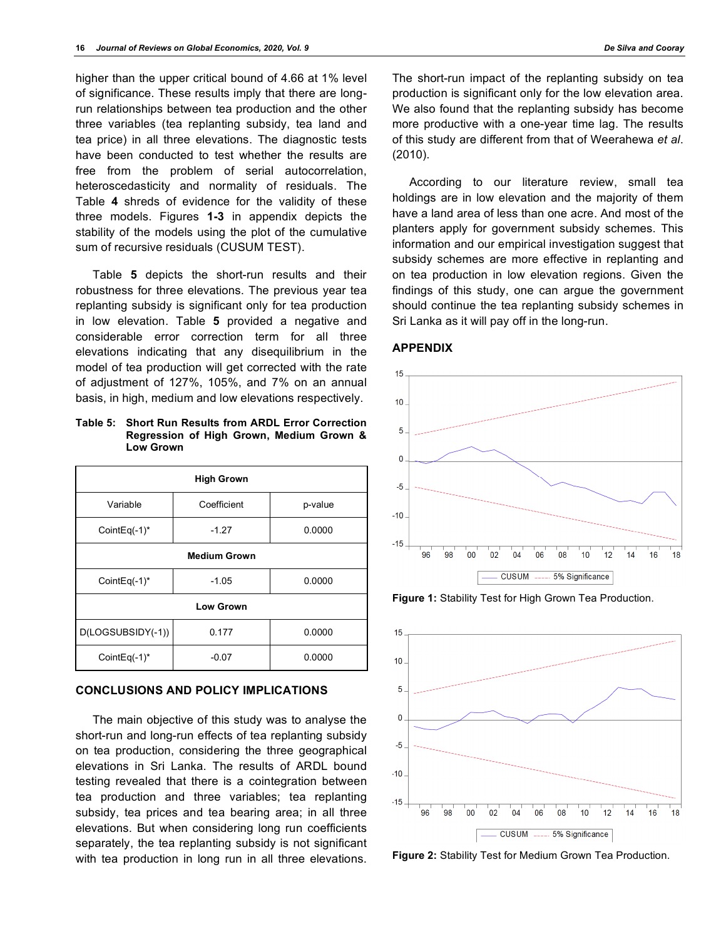higher than the upper critical bound of 4.66 at 1% level of significance. These results imply that there are longrun relationships between tea production and the other three variables (tea replanting subsidy, tea land and tea price) in all three elevations. The diagnostic tests have been conducted to test whether the results are free from the problem of serial autocorrelation, heteroscedasticity and normality of residuals. The Table **4** shreds of evidence for the validity of these three models. Figures **1-3** in appendix depicts the stability of the models using the plot of the cumulative sum of recursive residuals (CUSUM TEST).

Table **5** depicts the short-run results and their robustness for three elevations. The previous year tea replanting subsidy is significant only for tea production in low elevation. Table **5** provided a negative and considerable error correction term for all three elevations indicating that any disequilibrium in the model of tea production will get corrected with the rate of adjustment of 127%, 105%, and 7% on an annual basis, in high, medium and low elevations respectively.

**Table 5: Short Run Results from ARDL Error Correction Regression of High Grown, Medium Grown & Low Grown**

| <b>High Grown</b>   |             |         |  |  |  |
|---------------------|-------------|---------|--|--|--|
| Variable            | Coefficient | p-value |  |  |  |
| CointEq $(-1)^*$    | $-1.27$     | 0.0000  |  |  |  |
| <b>Medium Grown</b> |             |         |  |  |  |
| CointEq $(-1)^*$    | $-1.05$     | 0.0000  |  |  |  |
| <b>Low Grown</b>    |             |         |  |  |  |
| D(LOGSUBSIDY(-1))   | 0.177       | 0.0000  |  |  |  |
| CointEq $(-1)^*$    | $-0.07$     | 0.0000  |  |  |  |

#### **CONCLUSIONS AND POLICY IMPLICATIONS**

The main objective of this study was to analyse the short-run and long-run effects of tea replanting subsidy on tea production, considering the three geographical elevations in Sri Lanka. The results of ARDL bound testing revealed that there is a cointegration between tea production and three variables; tea replanting subsidy, tea prices and tea bearing area; in all three elevations. But when considering long run coefficients separately, the tea replanting subsidy is not significant with tea production in long run in all three elevations.

The short-run impact of the replanting subsidy on tea production is significant only for the low elevation area. We also found that the replanting subsidy has become more productive with a one-year time lag. The results of this study are different from that of Weerahewa *et al*. (2010).

According to our literature review, small tea holdings are in low elevation and the majority of them have a land area of less than one acre. And most of the planters apply for government subsidy schemes. This information and our empirical investigation suggest that subsidy schemes are more effective in replanting and on tea production in low elevation regions. Given the findings of this study, one can argue the government should continue the tea replanting subsidy schemes in Sri Lanka as it will pay off in the long-run.

#### **APPENDIX**



**Figure 1:** Stability Test for High Grown Tea Production.



**Figure 2:** Stability Test for Medium Grown Tea Production.